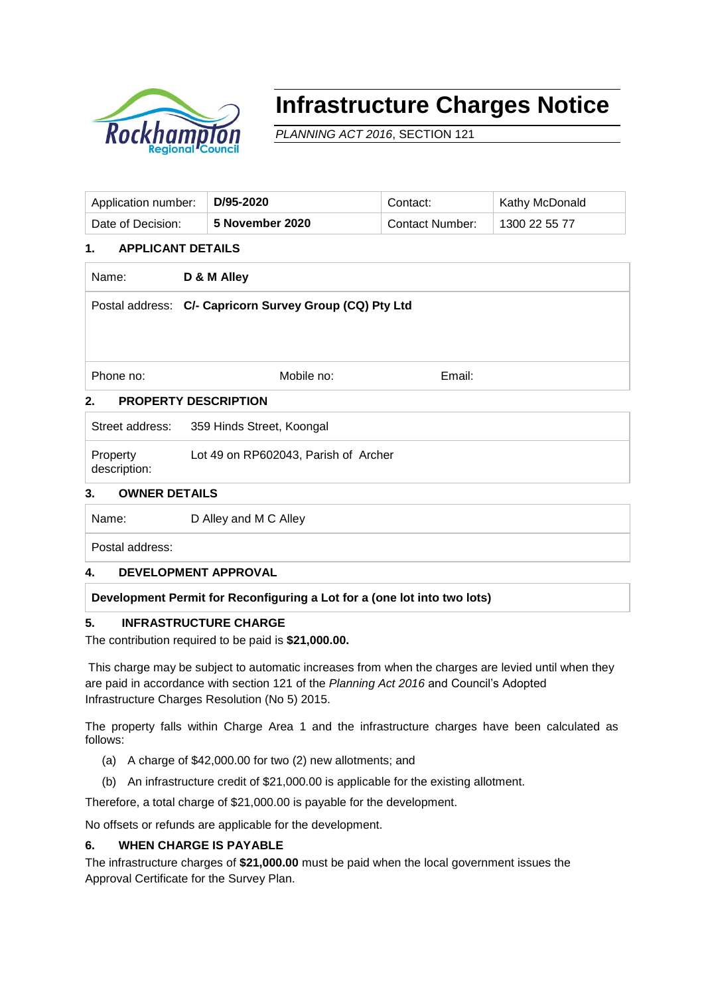

# **Infrastructure Charges Notice**

*PLANNING ACT 2016*, SECTION 121

| Application number: | D/95-2020       | Contact:               | Kathy McDonald |
|---------------------|-----------------|------------------------|----------------|
| Date of Decision:   | 5 November 2020 | <b>Contact Number:</b> | 1300 22 55 77  |

#### **1. APPLICANT DETAILS**

| Name: | D & M Alley |
|-------|-------------|
|       |             |

Postal address: **C/- Capricorn Survey Group (CQ) Pty Ltd**

Phone no: **Email:** Mobile no: Email: Email:

# **2. PROPERTY DESCRIPTION**

Street address: 359 Hinds Street, Koongal

Property description: Lot 49 on RP602043, Parish of Archer

## **3. OWNER DETAILS**

Name: D Alley and M C Alley

Postal address:

# **4. DEVELOPMENT APPROVAL**

# **Development Permit for Reconfiguring a Lot for a (one lot into two lots)**

# **5. INFRASTRUCTURE CHARGE**

The contribution required to be paid is **\$21,000.00.** 

This charge may be subject to automatic increases from when the charges are levied until when they are paid in accordance with section 121 of the *Planning Act 2016* and Council's Adopted Infrastructure Charges Resolution (No 5) 2015.

The property falls within Charge Area 1 and the infrastructure charges have been calculated as follows:

- (a) A charge of \$42,000.00 for two (2) new allotments; and
- (b) An infrastructure credit of \$21,000.00 is applicable for the existing allotment.

Therefore, a total charge of \$21,000.00 is payable for the development.

No offsets or refunds are applicable for the development.

# **6. WHEN CHARGE IS PAYABLE**

The infrastructure charges of **\$21,000.00** must be paid when the local government issues the Approval Certificate for the Survey Plan.